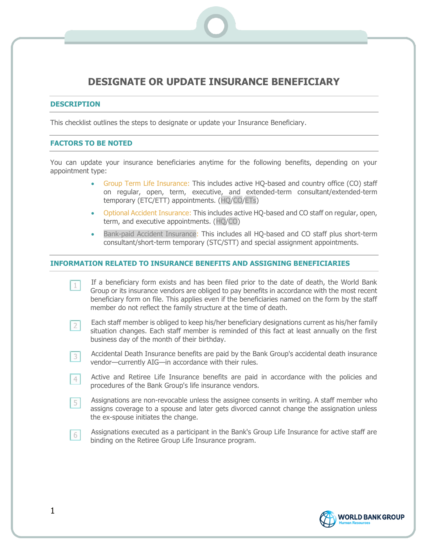# **DESIGNATE OR UPDATE INSURANCE BENEFICIARY**

## **DESCRIPTION**

This checklist outlines the steps to designate or update your Insurance Beneficiary.

# **FACTORS TO BE NOTED**

You can update your insurance beneficiaries anytime for the following benefits, depending on your appointment type:

- Group Term Life Insurance: This includes active HQ-based and country office (CO) staff on regular, open, term, executive, and extended-term consultant/extended-term temporary (ETC/ETT) appointments. (HQ/CO/ETs)
- Optional Accident Insurance: This includes active HQ-based and CO staff on regular, open, term, and executive appointments. (HQ/CO)
- Bank-paid Accident Insurance: This includes all HQ-based and CO staff plus short-term consultant/short-term temporary (STC/STT) and special assignment appointments.

#### **INFORMATION RELATED TO INSURANCE BENEFITS AND ASSIGNING BENEFICIARIES**

- If a beneficiary form exists and has been filed prior to the date of death, the World Bank  $1$ Group or its insurance vendors are obliged to pay benefits in accordance with the most recent beneficiary form on file. This applies even if the beneficiaries named on the form by the staff member do not reflect the family structure at the time of death.
- Each staff member is obliged to keep his/her beneficiary designations current as his/her family  $2<sup>1</sup>$ situation changes. Each staff member is reminded of this fact at least annually on the first business day of the month of their birthday.
- Accidental Death Insurance benefits are paid by the Bank Group's accidental death insurance  $3<sup>1</sup>$ vendor—currently AIG—in accordance with their rules.
- Active and Retiree Life Insurance benefits are paid in accordance with the policies and  $4<sup>1</sup>$ procedures of the Bank Group's life insurance vendors.
- Assignations are non-revocable unless the assignee consents in writing. A staff member who 5 assigns coverage to a spouse and later gets divorced cannot change the assignation unless the ex-spouse initiates the change.
- Assignations executed as a participant in the Bank's Group Life Insurance for active staff are 6 binding on the Retiree Group Life Insurance program.